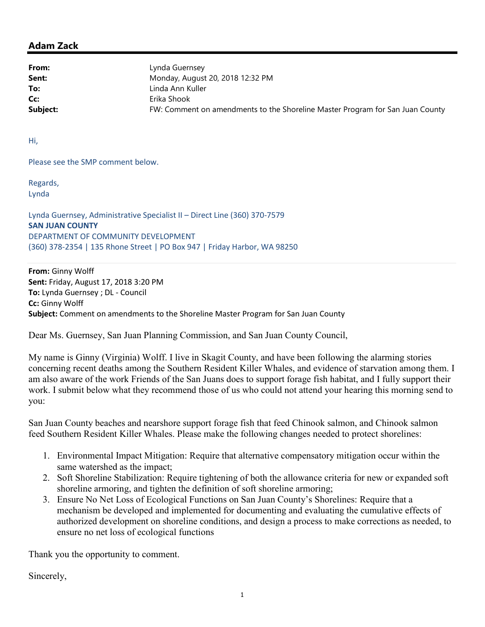## Adam Zack

From: Lynda Guernsey **Sent:** Monday, August 20, 2018 12:32 PM To: linda Ann Kuller Cc: Erika Shook Subject: **FW: Comment on amendments to the Shoreline Master Program for San Juan County** 

Hi,

Please see the SMP comment below.

Regards, Lynda

Lynda Guernsey, Administrative Specialist II – Direct Line (360) 370-7579 SAN JUAN COUNTY DEPARTMENT OF COMMUNITY DEVELOPMENT (360) 378-2354 | 135 Rhone Street | PO Box 947 | Friday Harbor, WA 98250

From: Ginny Wolff Sent: Friday, August 17, 2018 3:20 PM To: Lynda Guernsey ; DL - Council Cc: Ginny Wolff Subject: Comment on amendments to the Shoreline Master Program for San Juan County

Dear Ms. Guernsey, San Juan Planning Commission, and San Juan County Council,

My name is Ginny (Virginia) Wolff. I live in Skagit County, and have been following the alarming stories concerning recent deaths among the Southern Resident Killer Whales, and evidence of starvation among them. I am also aware of the work Friends of the San Juans does to support forage fish habitat, and I fully support their work. I submit below what they recommend those of us who could not attend your hearing this morning send to you:

San Juan County beaches and nearshore support forage fish that feed Chinook salmon, and Chinook salmon feed Southern Resident Killer Whales. Please make the following changes needed to protect shorelines:

- 1. Environmental Impact Mitigation: Require that alternative compensatory mitigation occur within the same watershed as the impact;
- 2. Soft Shoreline Stabilization: Require tightening of both the allowance criteria for new or expanded soft shoreline armoring, and tighten the definition of soft shoreline armoring;
- 3. Ensure No Net Loss of Ecological Functions on San Juan County's Shorelines: Require that a mechanism be developed and implemented for documenting and evaluating the cumulative effects of authorized development on shoreline conditions, and design a process to make corrections as needed, to ensure no net loss of ecological functions

Thank you the opportunity to comment.

Sincerely,